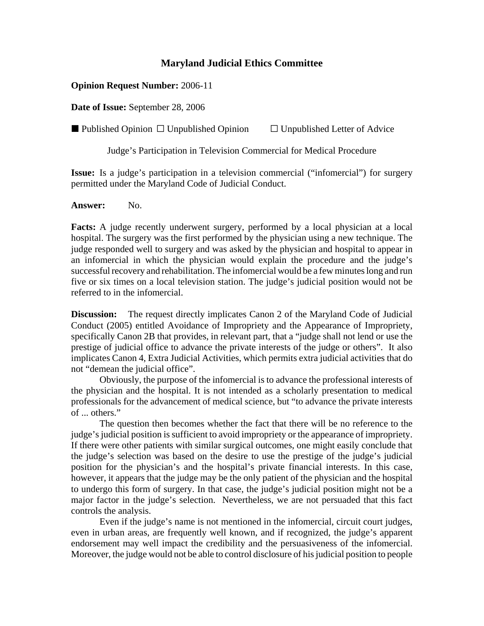## **Maryland Judicial Ethics Committee**

## **Opinion Request Number:** 2006-11

**Date of Issue:** September 28, 2006

**D** Published Opinion  $\Box$  Unpublished Opinion  $\Box$  Unpublished Letter of Advice

Judge's Participation in Television Commercial for Medical Procedure

**Issue:** Is a judge's participation in a television commercial ("infomercial") for surgery permitted under the Maryland Code of Judicial Conduct.

**Answer:** No.

**Facts:** A judge recently underwent surgery, performed by a local physician at a local hospital. The surgery was the first performed by the physician using a new technique. The judge responded well to surgery and was asked by the physician and hospital to appear in an infomercial in which the physician would explain the procedure and the judge's successful recovery and rehabilitation. The infomercial would be a few minutes long and run five or six times on a local television station. The judge's judicial position would not be referred to in the infomercial.

**Discussion:** The request directly implicates Canon 2 of the Maryland Code of Judicial Conduct (2005) entitled Avoidance of Impropriety and the Appearance of Impropriety, specifically Canon 2B that provides, in relevant part, that a "judge shall not lend or use the prestige of judicial office to advance the private interests of the judge or others". It also implicates Canon 4, Extra Judicial Activities, which permits extra judicial activities that do not "demean the judicial office".

Obviously, the purpose of the infomercial is to advance the professional interests of the physician and the hospital. It is not intended as a scholarly presentation to medical professionals for the advancement of medical science, but "to advance the private interests of ... others."

The question then becomes whether the fact that there will be no reference to the judge's judicial position is sufficient to avoid impropriety or the appearance of impropriety. If there were other patients with similar surgical outcomes, one might easily conclude that the judge's selection was based on the desire to use the prestige of the judge's judicial position for the physician's and the hospital's private financial interests. In this case, however, it appears that the judge may be the only patient of the physician and the hospital to undergo this form of surgery. In that case, the judge's judicial position might not be a major factor in the judge's selection. Nevertheless, we are not persuaded that this fact controls the analysis.

Even if the judge's name is not mentioned in the infomercial, circuit court judges, even in urban areas, are frequently well known, and if recognized, the judge's apparent endorsement may well impact the credibility and the persuasiveness of the infomercial. Moreover, the judge would not be able to control disclosure of his judicial position to people